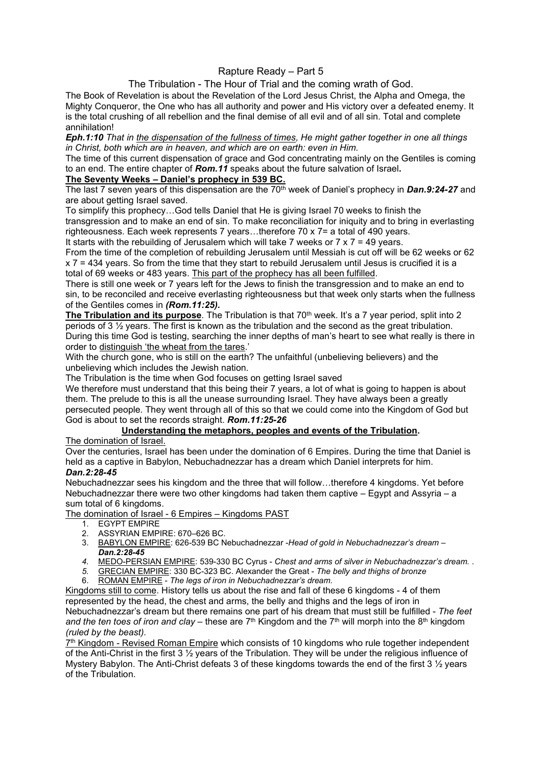# Rapture Ready – Part 5

# The Tribulation - The Hour of Trial and the coming wrath of God.

The Book of Revelation is about the Revelation of the Lord Jesus Christ, the Alpha and Omega, the Mighty Conqueror, the One who has all authority and power and His victory over a defeated enemy. It is the total crushing of all rebellion and the final demise of all evil and of all sin. Total and complete annihilation!

#### Eph.1:10 That in the dispensation of the fullness of times, He might gather together in one all things in Christ, both which are in heaven, and which are on earth: even in Him.

The time of this current dispensation of grace and God concentrating mainly on the Gentiles is coming to an end. The entire chapter of **Rom.11** speaks about the future salvation of Israel.

## The Seventy Weeks – Daniel's prophecy in 539 BC.

The last 7 seven years of this dispensation are the  $70<sup>th</sup>$  week of Daniel's prophecy in **Dan.9:24-27** and are about getting Israel saved.

To simplify this prophecy…God tells Daniel that He is giving Israel 70 weeks to finish the transgression and to make an end of sin. To make reconciliation for iniquity and to bring in everlasting righteousness. Each week represents 7 years…therefore 70 x 7= a total of 490 years.

It starts with the rebuilding of Jerusalem which will take 7 weeks or  $7 \times 7 = 49$  years.

From the time of the completion of rebuilding Jerusalem until Messiah is cut off will be 62 weeks or 62 x 7 = 434 years. So from the time that they start to rebuild Jerusalem until Jesus is crucified it is a total of 69 weeks or 483 years. This part of the prophecy has all been fulfilled.

There is still one week or 7 years left for the Jews to finish the transgression and to make an end to sin, to be reconciled and receive everlasting righteousness but that week only starts when the fullness of the Gentiles comes in (Rom.11:25).

The Tribulation and its purpose. The Tribulation is that  $70<sup>th</sup>$  week. It's a 7 year period, split into 2 periods of 3  $\frac{1}{2}$  years. The first is known as the tribulation and the second as the great tribulation. During this time God is testing, searching the inner depths of man's heart to see what really is there in order to distinguish 'the wheat from the tares.'

With the church gone, who is still on the earth? The unfaithful (unbelieving believers) and the unbelieving which includes the Jewish nation.

The Tribulation is the time when God focuses on getting Israel saved

We therefore must understand that this being their 7 years, a lot of what is going to happen is about them. The prelude to this is all the unease surrounding Israel. They have always been a greatly persecuted people. They went through all of this so that we could come into the Kingdom of God but God is about to set the records straight. Rom.11:25-26

# Understanding the metaphors, peoples and events of the Tribulation.

The domination of Israel.

Over the centuries, Israel has been under the domination of 6 Empires. During the time that Daniel is held as a captive in Babylon, Nebuchadnezzar has a dream which Daniel interprets for him.

### Dan.2:28-45

Nebuchadnezzar sees his kingdom and the three that will follow…therefore 4 kingdoms. Yet before Nebuchadnezzar there were two other kingdoms had taken them captive – Egypt and Assyria – a sum total of 6 kingdoms.

The domination of Israel - 6 Empires – Kingdoms PAST

- 1. EGYPT EMPIRE
- 2. ASSYRIAN EMPIRE: 670–626 BC.
- 3. BABYLON EMPIRE: 626-539 BC Nebuchadnezzar -Head of gold in Nebuchadnezzar's dream Dan.2:28-45
- 4. MEDO-PERSIAN EMPIRE: 539-330 BC Cyrus Chest and arms of silver in Nebuchadnezzar's dream..
- 5. GRECIAN EMPIRE: 330 BC-323 BC. Alexander the Great The belly and thighs of bronze
- 6. ROMAN EMPIRE The legs of iron in Nebuchadnezzar's dream.

Kingdoms still to come. History tells us about the rise and fall of these 6 kingdoms - 4 of them represented by the head, the chest and arms, the belly and thighs and the legs of iron in Nebuchadnezzar's dream but there remains one part of his dream that must still be fulfilled - The feet and the ten toes of iron and clay – these are  $7<sup>th</sup>$  Kingdom and the  $7<sup>th</sup>$  will morph into the  $8<sup>th</sup>$  kingdom (ruled by the beast).

7<sup>th</sup> Kingdom - Revised Roman Empire which consists of 10 kingdoms who rule together independent of the Anti-Christ in the first 3 ½ years of the Tribulation. They will be under the religious influence of Mystery Babylon. The Anti-Christ defeats 3 of these kingdoms towards the end of the first 3 % years of the Tribulation.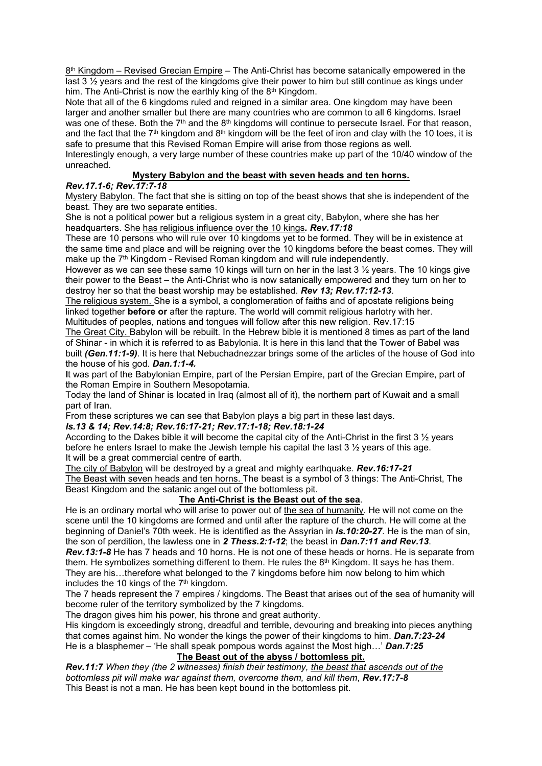$8<sup>th</sup>$  Kingdom – Revised Grecian Empire – The Anti-Christ has become satanically empowered in the last 3 ½ years and the rest of the kingdoms give their power to him but still continue as kings under him. The Anti-Christ is now the earthly king of the 8<sup>th</sup> Kingdom.

Note that all of the 6 kingdoms ruled and reigned in a similar area. One kingdom may have been larger and another smaller but there are many countries who are common to all 6 kingdoms. Israel was one of these. Both the 7<sup>th</sup> and the 8<sup>th</sup> kingdoms will continue to persecute Israel. For that reason, and the fact that the  $7<sup>th</sup>$  kingdom and  $8<sup>th</sup>$  kingdom will be the feet of iron and clay with the 10 toes, it is safe to presume that this Revised Roman Empire will arise from those regions as well. Interestingly enough, a very large number of these countries make up part of the 10/40 window of the unreached.

# Mystery Babylon and the beast with seven heads and ten horns.

## Rev.17.1-6; Rev.17:7-18

Mystery Babylon. The fact that she is sitting on top of the beast shows that she is independent of the beast. They are two separate entities.

She is not a political power but a religious system in a great city, Babylon, where she has her headquarters. She has religious influence over the 10 kings. Rev.17:18

These are 10 persons who will rule over 10 kingdoms yet to be formed. They will be in existence at the same time and place and will be reigning over the 10 kingdoms before the beast comes. They will make up the  $7<sup>th</sup>$  Kingdom - Revised Roman kingdom and will rule independently.

However as we can see these same 10 kings will turn on her in the last  $3\frac{1}{2}$  years. The 10 kings give their power to the Beast – the Anti-Christ who is now satanically empowered and they turn on her to destroy her so that the beast worship may be established. Rev 13; Rev.17:12-13.

The religious system. She is a symbol, a conglomeration of faiths and of apostate religions being linked together **before or** after the rapture. The world will commit religious harlotry with her. Multitudes of peoples, nations and tongues will follow after this new religion. Rev.17:15

The Great City. Babylon will be rebuilt. In the Hebrew bible it is mentioned 8 times as part of the land of Shinar - in which it is referred to as Babylonia. It is here in this land that the Tower of Babel was built (Gen.11:1-9). It is here that Nebuchadnezzar brings some of the articles of the house of God into the house of his god. Dan.1:1-4.

It was part of the Babylonian Empire, part of the Persian Empire, part of the Grecian Empire, part of the Roman Empire in Southern Mesopotamia.

Today the land of Shinar is located in Iraq (almost all of it), the northern part of Kuwait and a small part of Iran.

From these scriptures we can see that Babylon plays a big part in these last days.

### Is.13 & 14; Rev.14:8; Rev.16:17-21; Rev.17:1-18; Rev.18:1-24

According to the Dakes bible it will become the capital city of the Anti-Christ in the first 3  $\frac{1}{2}$  years before he enters Israel to make the Jewish temple his capital the last 3 ½ years of this age. It will be a great commercial centre of earth.

The city of Babylon will be destroyed by a great and mighty earthquake. Rev.16:17-21

The Beast with seven heads and ten horns. The beast is a symbol of 3 things: The Anti-Christ, The Beast Kingdom and the satanic angel out of the bottomless pit.

### The Anti-Christ is the Beast out of the sea.

He is an ordinary mortal who will arise to power out of the sea of humanity. He will not come on the scene until the 10 kingdoms are formed and until after the rapture of the church. He will come at the beginning of Daniel's 70th week. He is identified as the Assyrian in **Is.10:20-27**. He is the man of sin, the son of perdition, the lawless one in 2 Thess.2:1-12; the beast in Dan.7:11 and Rev.13.

Rev.13:1-8 He has 7 heads and 10 horns. He is not one of these heads or horns. He is separate from them. He symbolizes something different to them. He rules the  $8<sup>th</sup>$  Kingdom. It says he has them. They are his…therefore what belonged to the 7 kingdoms before him now belong to him which includes the 10 kings of the  $7<sup>th</sup>$  kingdom.

The 7 heads represent the 7 empires / kingdoms. The Beast that arises out of the sea of humanity will become ruler of the territory symbolized by the 7 kingdoms.

The dragon gives him his power, his throne and great authority.

His kingdom is exceedingly strong, dreadful and terrible, devouring and breaking into pieces anything that comes against him. No wonder the kings the power of their kingdoms to him. **Dan.7:23-24** He is a blasphemer – 'He shall speak pompous words against the Most high...' Dan.7:25

### The Beast out of the abyss / bottomless pit.

Rev.11:7 When they (the 2 witnesses) finish their testimony, the beast that ascends out of the bottomless pit will make war against them, overcome them, and kill them, Rev.17:7-8 This Beast is not a man. He has been kept bound in the bottomless pit.